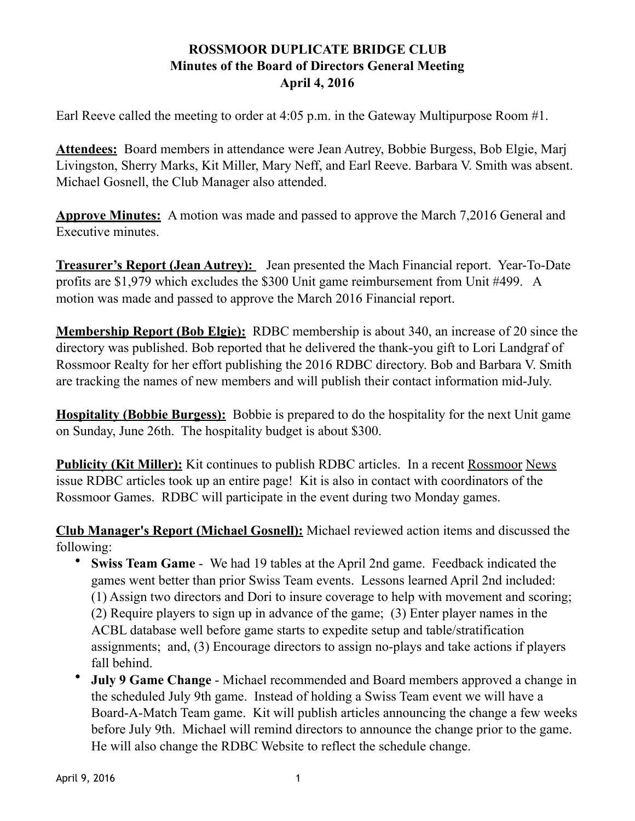## **ROSSMOOR DUPLICATE BRIDGE CLUB Minutes of the Board of Directors General Meeting April 4, 2016**

Earl Reeve called the meeting to order at 4:05 p.m. in the Gateway Multipurpose Room #1.

**Attendees:** Board members in attendance were Jean Autrey, Bobbie Burgess, Bob Elgie, Marj Livingston, Sherry Marks, Kit Miller, Mary Neff, and Earl Reeve. Barbara V. Smith was absent. Michael Gosnell, the Club Manager also attended.

**Approve Minutes:** A motion was made and passed to approve the March 7,2016 General and Executive minutes.

**Treasurer's Report (Jean Autrey):** Jean presented the Mach Financial report. Year-To-Date profits are \$1,979 which excludes the \$300 Unit game reimbursement from Unit #499. A motion was made and passed to approve the March 2016 Financial report.

**Membership Report (Bob Elgie):** RDBC membership is about 340, an increase of 20 since the directory was published. Bob reported that he delivered the thank-you gift to Lori Landgraf of Rossmoor Realty for her effort publishing the 2016 RDBC directory. Bob and Barbara V. Smith are tracking the names of new members and will publish their contact information mid-July.

**Hospitality (Bobbie Burgess):** Bobbie is prepared to do the hospitality for the next Unit game on Sunday, June 26th. The hospitality budget is about \$300.

**Publicity (Kit Miller):** Kit continues to publish RDBC articles. In a recent Rossmoor News issue RDBC articles took up an entire page! Kit is also in contact with coordinators of the Rossmoor Games. RDBC will participate in the event during two Monday games.

**Club Manager's Report (Michael Gosnell):** Michael reviewed action items and discussed the following:

- **Swiss Team Game**  We had 19 tables at the April 2nd game. Feedback indicated the games went better than prior Swiss Team events. Lessons learned April 2nd included: (1) Assign two directors and Dori to insure coverage to help with movement and scoring; (2) Require players to sign up in advance of the game; (3) Enter player names in the ACBL database well before game starts to expedite setup and table/stratification assignments; and, (3) Encourage directors to assign no-plays and take actions if players fall behind.
- **July 9 Game Change**  Michael recommended and Board members approved a change in the scheduled July 9th game. Instead of holding a Swiss Team event we will have a Board-A-Match Team game. Kit will publish articles announcing the change a few weeks before July 9th. Michael will remind directors to announce the change prior to the game. He will also change the RDBC Website to reflect the schedule change.